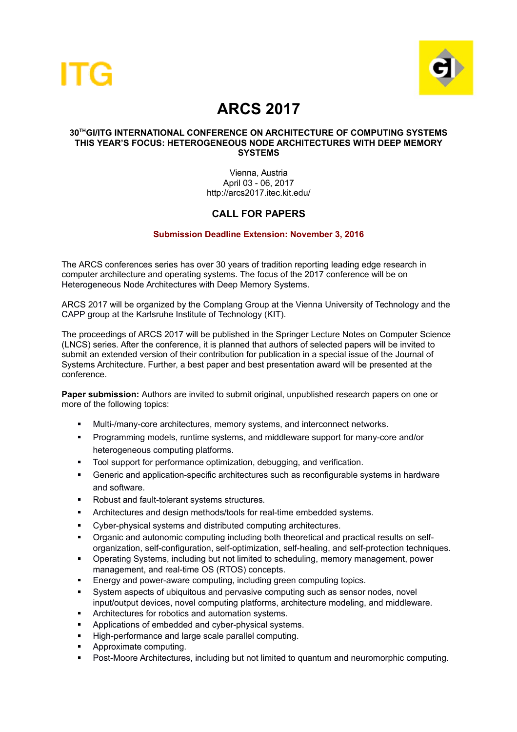



# **ARCS 2017**

#### **30THGI/ITG INTERNATIONAL CONFERENCE ON ARCHITECTURE OF COMPUTING SYSTEMS THIS YEAR'S FOCUS: HETEROGENEOUS NODE ARCHITECTURES WITH DEEP MEMORY SYSTEMS**

Vienna, Austria April 03 - 06, 2017 http://arcs2017.itec.kit.edu/

## **CALL FOR PAPERS**

### **Submission Deadline Extension: November 3, 2016**

The ARCS conferences series has over 30 years of tradition reporting leading edge research in computer architecture and operating systems. The focus of the 2017 conference will be on Heterogeneous Node Architectures with Deep Memory Systems.

ARCS 2017 will be organized by the Complang Group at the Vienna University of Technology and the CAPP group at the Karlsruhe Institute of Technology (KIT).

The proceedings of ARCS 2017 will be published in the Springer Lecture Notes on Computer Science (LNCS) series. After the conference, it is planned that authors of selected papers will be invited to submit an extended version of their contribution for publication in a special issue of the Journal of Systems Architecture. Further, a best paper and best presentation award will be presented at the conference.

Paper submission: Authors are invited to submit original, unpublished research papers on one or more of the following topics:

- Multi-/many-core architectures, memory systems, and interconnect networks.
- Programming models, runtime systems, and middleware support for many-core and/or heterogeneous computing platforms.
- Tool support for performance optimization, debugging, and verification.
- Generic and application-specific architectures such as reconfigurable systems in hardware and software.
- Robust and fault-tolerant systems structures.
- **EXECUTER 19 Architectures and design methods/tools for real-time embedded systems.**
- Cyber-physical systems and distributed computing architectures.
- Organic and autonomic computing including both theoretical and practical results on selforganization, self-configuration, self-optimization, self-healing, and self-protection techniques.
- Operating Systems, including but not limited to scheduling, memory management, power management, and real-time OS (RTOS) concepts.
- **Energy and power-aware computing, including green computing topics.**
- System aspects of ubiquitous and pervasive computing such as sensor nodes, novel input/output devices, novel computing platforms, architecture modeling, and middleware.
- Architectures for robotics and automation systems.
- Applications of embedded and cyber-physical systems.
- High-performance and large scale parallel computing.
- Approximate computing.
- Post-Moore Architectures, including but not limited to quantum and neuromorphic computing.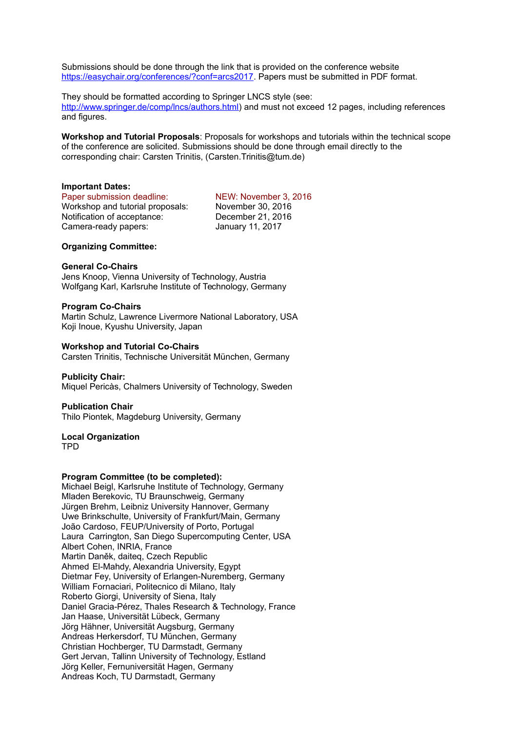Submissions should be done through the link that is provided on the conference website https://easychair.org/conferences/?conf=arcs2017. Papers must be submitted in PDF format.

They should be formatted according to Springer LNCS style (see: [http://www.springer.de/comp/lncs/authors.html\)](http://www.springer.de/comp/lncs/authors.html) and must not exceed 12 pages, including references and figures.

**Workshop and Tutorial Proposals**: Proposals for workshops and tutorials within the technical scope of the conference are solicited. Submissions should be done through email directly to the corresponding chair: Carsten Trinitis, (Carsten.Trinitis@tum.de)

#### **Important Dates:**

Paper submission deadline:<br>
Workshop and tutorial proposals: November 30, 2016 Workshop and tutorial proposals: Notification of acceptance: December 21, 2016 Camera-ready papers: January 11, 2017

#### **Organizing Committee:**

#### **General Co-Chairs**

Jens Knoop, Vienna University of Technology, Austria Wolfgang Karl, Karlsruhe Institute of Technology, Germany

#### **Program Co-Chairs**

Martin Schulz, Lawrence Livermore National Laboratory, USA Koji Inoue, Kyushu University, Japan

#### **Workshop and Tutorial Co-Chairs**

Carsten Trinitis, Technische Universität München, Germany

#### **Publicity Chair:**

Miquel Pericàs, Chalmers University of Technology, Sweden

#### **Publication Chair**

Thilo Piontek, Magdeburg University, Germany

#### **Local Organization**  TPD

#### **Program Committee (to be completed):**

Michael Beigl, Karlsruhe Institute of Technology, Germany Mladen Berekovic, TU Braunschweig, Germany Jürgen Brehm, Leibniz University Hannover, Germany Uwe Brinkschulte, University of Frankfurt/Main, Germany João Cardoso, FEUP/University of Porto, Portugal Laura Carrington, San Diego Supercomputing Center, USA Albert Cohen, INRIA, France Martin Daněk, daiteq, Czech Republic Ahmed El-Mahdy, Alexandria University, Egypt Dietmar Fey, University of Erlangen-Nuremberg, Germany William Fornaciari, Politecnico di Milano, Italy Roberto Giorgi, University of Siena, Italy Daniel Gracia-Pérez, Thales Research & Technology, France Jan Haase, Universität Lübeck, Germany Jörg Hähner, Universität Augsburg, Germany Andreas Herkersdorf, TU München, Germany Christian Hochberger, TU Darmstadt, Germany Gert Jervan, Tallinn University of Technology, Estland Jörg Keller, Fernuniversität Hagen, Germany Andreas Koch, TU Darmstadt, Germany